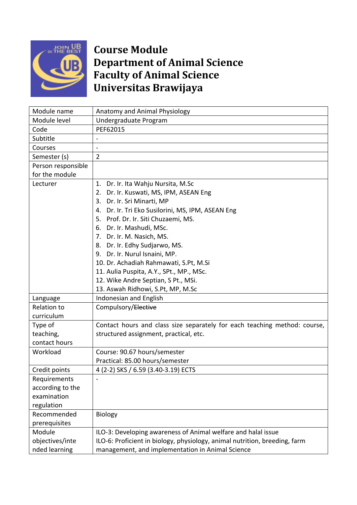

## **Course Module Department of Animal Science Faculty of Animal Science Universitas Brawijaya**

| Module name        | Anatomy and Animal Physiology                                              |
|--------------------|----------------------------------------------------------------------------|
| Module level       | Undergraduate Program                                                      |
| Code               | PEF62015                                                                   |
| Subtitle           |                                                                            |
| Courses            |                                                                            |
| Semester (s)       | $\overline{2}$                                                             |
| Person responsible |                                                                            |
| for the module     |                                                                            |
| Lecturer           | Dr. Ir. Ita Wahju Nursita, M.Sc<br>1.                                      |
|                    | Dr. Ir. Kuswati, MS, IPM, ASEAN Eng<br>2.                                  |
|                    | Dr. Ir. Sri Minarti, MP<br>3.                                              |
|                    | 4. Dr. Ir. Tri Eko Susilorini, MS, IPM, ASEAN Eng                          |
|                    | 5. Prof. Dr. Ir. Siti Chuzaemi, MS.                                        |
|                    | 6. Dr. Ir. Mashudi, MSc.                                                   |
|                    | 7. Dr. Ir. M. Nasich, MS.                                                  |
|                    | 8. Dr. Ir. Edhy Sudjarwo, MS.                                              |
|                    | 9. Dr. Ir. Nurul Isnaini, MP.                                              |
|                    | 10. Dr. Achadiah Rahmawati, S.Pt, M.Si                                     |
|                    | 11. Aulia Puspita, A.Y., SPt., MP., MSc.                                   |
|                    | 12. Wike Andre Septian, S Pt., MSi.                                        |
|                    | 13. Aswah Ridhowi, S.Pt, MP, M.Sc                                          |
| Language           | Indonesian and English                                                     |
| <b>Relation to</b> | Compulsory/Elective                                                        |
| curriculum         |                                                                            |
| Type of            | Contact hours and class size separately for each teaching method: course,  |
| teaching,          | structured assignment, practical, etc.                                     |
| contact hours      |                                                                            |
| Workload           | Course: 90.67 hours/semester                                               |
|                    | Practical: 85.00 hours/semester                                            |
| Credit points      | 4 (2-2) SKS / 6.59 (3.40-3.19) ECTS                                        |
| Requirements       |                                                                            |
| according to the   |                                                                            |
| examination        |                                                                            |
| regulation         |                                                                            |
| Recommended        | <b>Biology</b>                                                             |
| prerequisites      |                                                                            |
| Module             | ILO-3: Developing awareness of Animal welfare and halal issue              |
| objectives/inte    | ILO-6: Proficient in biology, physiology, animal nutrition, breeding, farm |
| nded learning      | management, and implementation in Animal Science                           |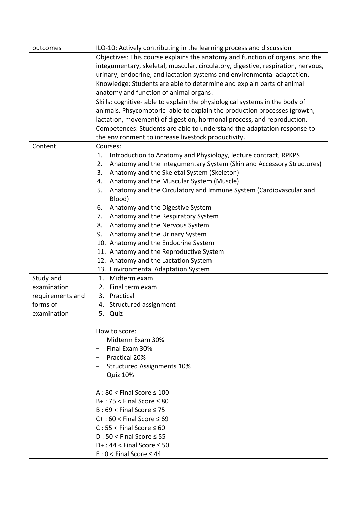| outcomes         | ILO-10: Actively contributing in the learning process and discussion             |
|------------------|----------------------------------------------------------------------------------|
|                  | Objectives: This course explains the anatomy and function of organs, and the     |
|                  | integumentary, skeletal, muscular, circulatory, digestive, respiration, nervous, |
|                  | urinary, endocrine, and lactation systems and environmental adaptation.          |
|                  | Knowledge: Students are able to determine and explain parts of animal            |
|                  | anatomy and function of animal organs.                                           |
|                  | Skills: cognitive- able to explain the physiological systems in the body of      |
|                  | animals. Phsycomotoric- able to explain the production processes (growth,        |
|                  | lactation, movement) of digestion, hormonal process, and reproduction.           |
|                  | Competences: Students are able to understand the adaptation response to          |
|                  | the environment to increase livestock productivity.                              |
| Content          | Courses:                                                                         |
|                  | Introduction to Anatomy and Physiology, lecture contract, RPKPS<br>1.            |
|                  | Anatomy and the Integumentary System (Skin and Accessory Structures)<br>2.       |
|                  | Anatomy and the Skeletal System (Skeleton)<br>3.                                 |
|                  | Anatomy and the Muscular System (Muscle)<br>4.                                   |
|                  | 5.<br>Anatomy and the Circulatory and Immune System (Cardiovascular and          |
|                  | Blood)                                                                           |
|                  | 6.<br>Anatomy and the Digestive System                                           |
|                  | 7.<br>Anatomy and the Respiratory System                                         |
|                  | Anatomy and the Nervous System<br>8.                                             |
|                  | Anatomy and the Urinary System<br>9.                                             |
|                  | 10. Anatomy and the Endocrine System                                             |
|                  | 11. Anatomy and the Reproductive System                                          |
|                  | 12. Anatomy and the Lactation System                                             |
|                  | 13. Environmental Adaptation System                                              |
| Study and        | Midterm exam<br>1.                                                               |
| examination      | Final term exam<br>2.                                                            |
| requirements and | Practical<br>3.                                                                  |
| forms of         | 4. Structured assignment                                                         |
| examination      | 5. Quiz                                                                          |
|                  |                                                                                  |
|                  | How to score:                                                                    |
|                  | Midterm Exam 30%                                                                 |
|                  | Final Exam 30%                                                                   |
|                  | Practical 20%<br>$\qquad \qquad \blacksquare$                                    |
|                  | <b>Structured Assignments 10%</b>                                                |
|                  | <b>Quiz 10%</b>                                                                  |
|                  |                                                                                  |
|                  | $A:80 <$ Final Score $\leq 100$                                                  |
|                  | $B+$ : 75 < Final Score $\leq 80$                                                |
|                  | $B:69 <$ Final Score $\leq 75$                                                   |
|                  | $C+$ : 60 < Final Score $\leq 69$                                                |
|                  | $C: 55 <$ Final Score $\leq 60$                                                  |
|                  | $D:50 <$ Final Score $\leq 55$                                                   |
|                  | $D+$ : 44 < Final Score $\leq$ 50                                                |
|                  | $E: 0 <$ Final Score $\leq 44$                                                   |